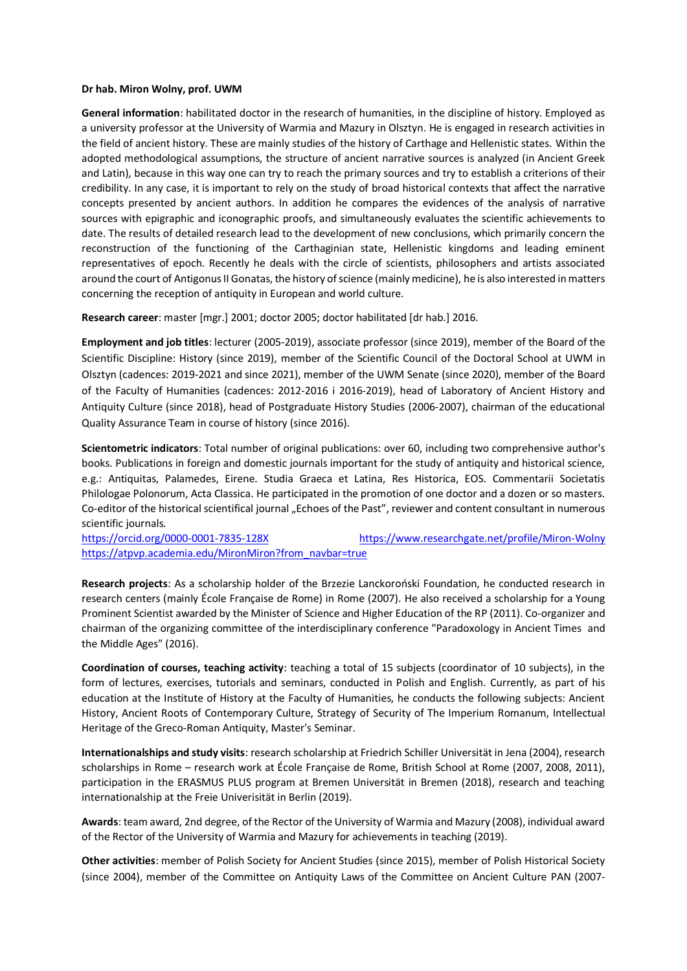## **Dr hab. Miron Wolny, prof. UWM**

**General information**: habilitated doctor in the research of humanities, in the discipline of history. Employed as a university professor at the University of Warmia and Mazury in Olsztyn. He is engaged in research activities in the field of ancient history. These are mainly studies of the history of Carthage and Hellenistic states. Within the adopted methodological assumptions, the structure of ancient narrative sources is analyzed (in Ancient Greek and Latin), because in this way one can try to reach the primary sources and try to establish a criterions of their credibility. In any case, it is important to rely on the study of broad historical contexts that affect the narrative concepts presented by ancient authors. In addition he compares the evidences of the analysis of narrative sources with epigraphic and iconographic proofs, and simultaneously evaluates the scientific achievements to date. The results of detailed research lead to the development of new conclusions, which primarily concern the reconstruction of the functioning of the Carthaginian state, Hellenistic kingdoms and leading eminent representatives of epoch. Recently he deals with the circle of scientists, philosophers and artists associated around the court of Antigonus II Gonatas, the history of science (mainly medicine), he is also interested in matters concerning the reception of antiquity in European and world culture.

**Research career**: master [mgr.] 2001; doctor 2005; doctor habilitated [dr hab.] 2016.

**Employment and job titles**: lecturer (2005-2019), associate professor (since 2019), member of the Board of the Scientific Discipline: History (since 2019), member of the Scientific Council of the Doctoral School at UWM in Olsztyn (cadences: 2019-2021 and since 2021), member of the UWM Senate (since 2020), member of the Board of the Faculty of Humanities (cadences: 2012-2016 i 2016-2019), head of Laboratory of Ancient History and Antiquity Culture (since 2018), head of Postgraduate History Studies (2006-2007), chairman of the educational Quality Assurance Team in course of history (since 2016).

**Scientometric indicators**: Total number of original publications: over 60, including two comprehensive author's books. Publications in foreign and domestic journals important for the study of antiquity and historical science, e.g.: Antiquitas, Palamedes, Eirene. Studia Graeca et Latina, Res Historica, EOS. Commentarii Societatis Philologae Polonorum, Acta Classica. He participated in the promotion of one doctor and a dozen or so masters. Co-editor of the historical scientifical journal "Echoes of the Past", reviewer and content consultant in numerous scientific journals.

<https://orcid.org/0000-0001-7835-128X> <https://www.researchgate.net/profile/Miron-Wolny> [https://atpvp.academia.edu/MironMiron?from\\_navbar=true](https://atpvp.academia.edu/MironMiron?from_navbar=true)

**Research projects**: As a scholarship holder of the Brzezie Lanckoroński Foundation, he conducted research in research centers (mainly École Française de Rome) in Rome (2007). He also received a scholarship for a Young Prominent Scientist awarded by the Minister of Science and Higher Education of the RP (2011). Co-organizer and chairman of the organizing committee of the interdisciplinary conference "Paradoxology in Ancient Times and the Middle Ages" (2016).

**Coordination of courses, teaching activity**: teaching a total of 15 subjects (coordinator of 10 subjects), in the form of lectures, exercises, tutorials and seminars, conducted in Polish and English. Currently, as part of his education at the Institute of History at the Faculty of Humanities, he conducts the following subjects: Ancient History, Ancient Roots of Contemporary Culture, Strategy of Security of The Imperium Romanum, Intellectual Heritage of the Greco-Roman Antiquity, Master's Seminar.

**Internationalships and study visits**: research scholarship at Friedrich Schiller Universität in Jena (2004), research scholarships in Rome – research work at École Française de Rome, British School at Rome (2007, 2008, 2011), participation in the ERASMUS PLUS program at Bremen Universität in Bremen (2018), research and teaching internationalship at the Freie Univerisität in Berlin (2019).

**Awards**: team award, 2nd degree, of the Rector of the University of Warmia and Mazury (2008), individual award of the Rector of the University of Warmia and Mazury for achievements in teaching (2019).

**Other activities**: member of Polish Society for Ancient Studies (since 2015), member of Polish Historical Society (since 2004), member of the Committee on Antiquity Laws of the Committee on Ancient Culture PAN (2007